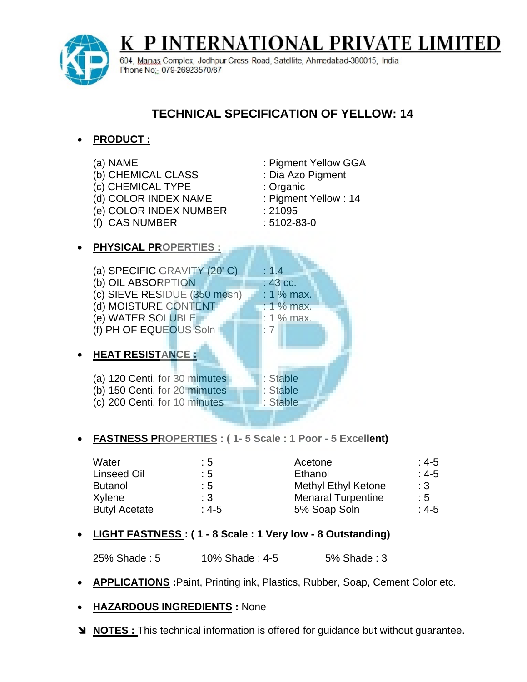# P INTERNATIONAL PRIVATE LIMITE!



604, Manas Complex, Jodhpur Cross Road, Satellite, Ahmedatad-380015, India Phone No: 079-26923570/87

## **TECHNICAL SPECIFICATION OF YELLOW: 14**

## **PRODUCT :**

(a) NAME<br>
(b) CHEMICAL CLASS : Dia Azo Pigment (b) CHEMICAL CLASS (c) CHEMICAL TYPE : Organic (d) COLOR INDEX NAME : Pigment Yellow : 14 (e) COLOR INDEX NUMBER : 21095 (f) CAS NUMBER : 5102-83-0 **PHYSICAL PROPERTIES :** (a) SPECIFIC GRAVITY  $(20' C)$  : 1.4 (b) OIL ABSORPTION  $: 43 \text{ cc.}$ (c) SIEVE RESIDUE  $(350 \text{ mesh}) + 1\% \text{ max}$ . (d) MOISTURE CONTENT : 1 % max. (e) WATER SOLUBLE : 1 % max. (f) PH OF EQUEOUS Soln  $\Box$  : 7 **HEAT RESISTANCE :** (a) 120 Centi. for 30 mimutes : Stable (b) 150 Centi. for 20 mimutes : Stable (c) 200 Centi. for 10 minutes **10 Fig. 1** : Stable

### **FASTNESS PROPERTIES : ( 1- 5 Scale : 1 Poor - 5 Excellent)**

| Water                | : 5            | Acetone                    | $:4-5$    |
|----------------------|----------------|----------------------------|-----------|
| Linseed Oil          | : 5            | Ethanol                    | $:4-5$    |
| <b>Butanol</b>       | $\therefore$ 5 | <b>Methyl Ethyl Ketone</b> | $\cdot$ 3 |
| Xylene               | $\cdot$ 3      | <b>Menaral Turpentine</b>  | $\pm 5$   |
| <b>Butyl Acetate</b> | : 4-5          | 5% Soap Soln               | $:4-5$    |

### **LIGHT FASTNESS : ( 1 - 8 Scale : 1 Very low - 8 Outstanding)**

25% Shade : 5 10% Shade : 4-5 5% Shade : 3

**APPLICATIONS :**Paint, Printing ink, Plastics, Rubber, Soap, Cement Color etc.

#### **HAZARDOUS INGREDIENTS :** None

**NOTES :** This technical information is offered for guidance but without guarantee.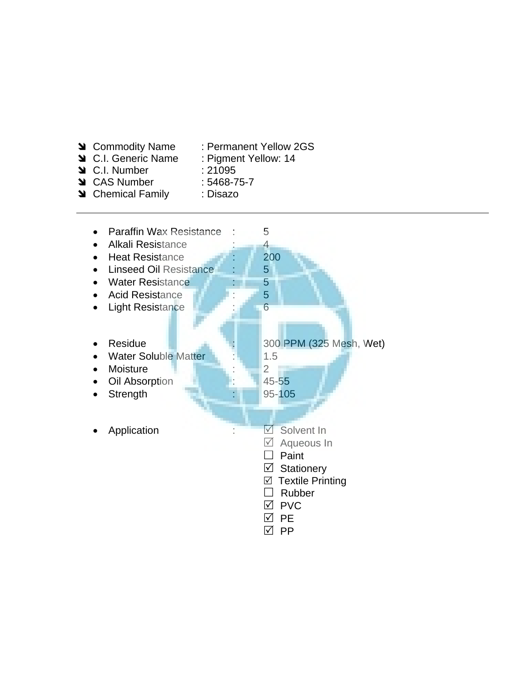- 
- **N** Commodity Name : Permanent Yellow 2GS
- **M** C.I. Generic Name : Pigment Yellow: 14
- **Solution** C.I. Number : 21095
- CAS Number : 5468-75-7
- Su Chemical Family : Disazo